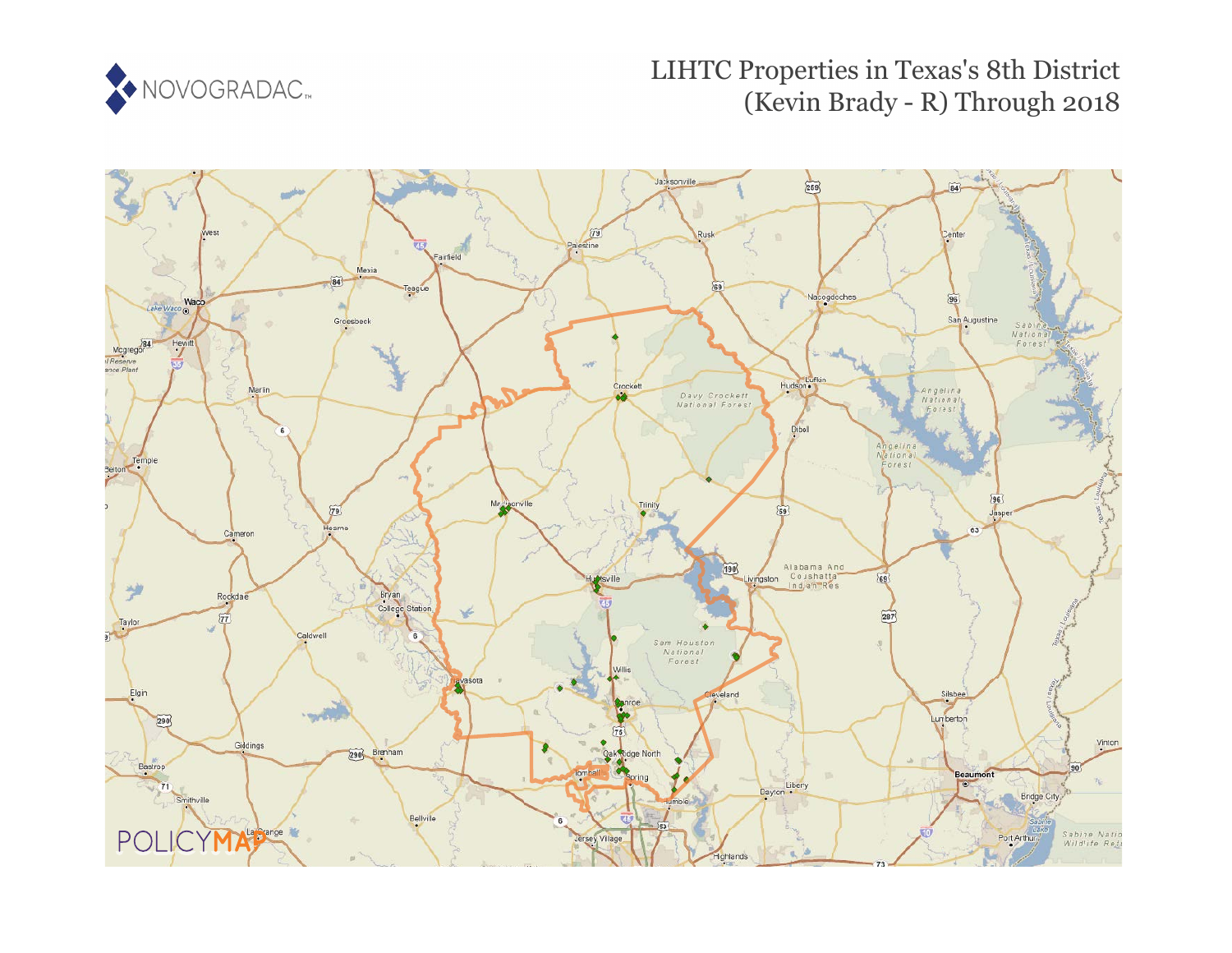

# LIHTC Properties in Texas's 8th District (Kevin Brady - R) Through 2018

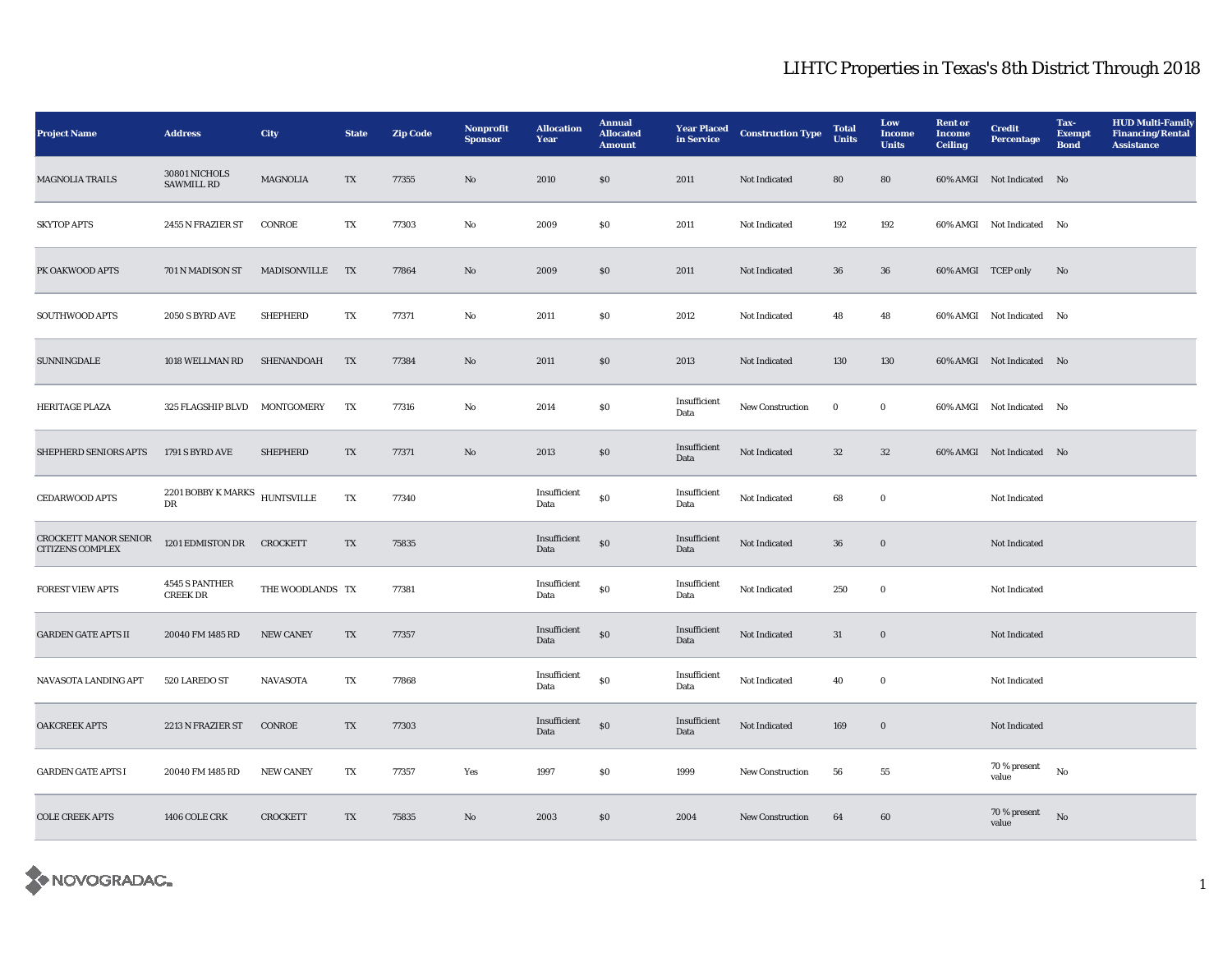| <b>Project Name</b>                                     | <b>Address</b>                      | City              | <b>State</b>           | <b>Zip Code</b> | Nonprofit<br><b>Sponsor</b> | <b>Allocation</b><br>Year | <b>Annual</b><br><b>Allocated</b><br><b>Amount</b> | <b>Year Placed</b><br>in Service | <b>Construction Type</b> | <b>Total</b><br><b>Units</b> | Low<br><b>Income</b><br><b>Units</b> | <b>Rent or</b><br><b>Income</b><br><b>Ceiling</b> | <b>Credit</b><br><b>Percentage</b> | Tax-<br><b>Exempt</b><br><b>Bond</b> | <b>HUD Multi-Family</b><br><b>Financing/Rental</b><br><b>Assistance</b> |
|---------------------------------------------------------|-------------------------------------|-------------------|------------------------|-----------------|-----------------------------|---------------------------|----------------------------------------------------|----------------------------------|--------------------------|------------------------------|--------------------------------------|---------------------------------------------------|------------------------------------|--------------------------------------|-------------------------------------------------------------------------|
| <b>MAGNOLIA TRAILS</b>                                  | 30801 NICHOLS<br><b>SAWMILL RD</b>  | <b>MAGNOLIA</b>   | TX                     | 77355           | No                          | 2010                      | \$0                                                | 2011                             | Not Indicated            | 80                           | 80                                   |                                                   | 60% AMGI Not Indicated No          |                                      |                                                                         |
| <b>SKYTOP APTS</b>                                      | 2455 N FRAZIER ST                   | CONROE            | TX                     | 77303           | No                          | 2009                      | \$0                                                | 2011                             | Not Indicated            | 192                          | 192                                  |                                                   | 60% AMGI Not Indicated No          |                                      |                                                                         |
| PK OAKWOOD APTS                                         | 701 N MADISON ST                    | MADISONVILLE      | TX                     | 77864           | $\mathbf {No}$              | 2009                      | $\$0$                                              | 2011                             | Not Indicated            | ${\bf 36}$                   | ${\bf 36}$                           | 60% AMGI TCEP only                                |                                    | No                                   |                                                                         |
| SOUTHWOOD APTS                                          | 2050 S BYRD AVE                     | <b>SHEPHERD</b>   | TX                     | 77371           | $\mathbf {No}$              | 2011                      | \$0                                                | 2012                             | Not Indicated            | 48                           | 48                                   |                                                   | 60% AMGI Not Indicated No          |                                      |                                                                         |
| <b>SUNNINGDALE</b>                                      | 1018 WELLMAN RD                     | SHENANDOAH        | TX                     | 77384           | $\rm No$                    | 2011                      | $\$0$                                              | 2013                             | Not Indicated            | 130                          | 130                                  |                                                   | 60% AMGI Not Indicated No          |                                      |                                                                         |
| HERITAGE PLAZA                                          | 325 FLAGSHIP BLVD                   | <b>MONTGOMERY</b> | TX                     | 77316           | $\mathbf{N}\mathbf{o}$      | 2014                      | ${\bf S0}$                                         | Insufficient<br>Data             | New Construction         | $\mathbf 0$                  | $\bf{0}$                             |                                                   | 60% AMGI Not Indicated No          |                                      |                                                                         |
| SHEPHERD SENIORS APTS                                   | 1791 S BYRD AVE                     | <b>SHEPHERD</b>   | $\mathbf{T}\mathbf{X}$ | 77371           | $\rm No$                    | 2013                      | $\$0$                                              | Insufficient<br>Data             | Not Indicated            | 32                           | 32                                   |                                                   | 60% AMGI Not Indicated No          |                                      |                                                                         |
| <b>CEDARWOOD APTS</b>                                   | $2201$ BOBBY K MARKS<br>$_{\rm DR}$ | <b>HUNTSVILLE</b> | TX                     | 77340           |                             | Insufficient<br>Data      | $\$0$                                              | Insufficient<br>Data             | Not Indicated            | 68                           | $\bf{0}$                             |                                                   | Not Indicated                      |                                      |                                                                         |
| <b>CROCKETT MANOR SENIOR</b><br><b>CITIZENS COMPLEX</b> | 1201 EDMISTON DR                    | <b>CROCKETT</b>   | TX                     | 75835           |                             | Insufficient<br>Data      | $\$0$                                              | Insufficient<br>Data             | Not Indicated            | 36                           | $\bf{0}$                             |                                                   | Not Indicated                      |                                      |                                                                         |
| <b>FOREST VIEW APTS</b>                                 | 4545 S PANTHER<br><b>CREEK DR</b>   | THE WOODLANDS TX  |                        | 77381           |                             | Insufficient<br>Data      | $\$0$                                              | Insufficient<br>Data             | Not Indicated            | 250                          | $\bf{0}$                             |                                                   | Not Indicated                      |                                      |                                                                         |
| <b>GARDEN GATE APTS II</b>                              | 20040 FM 1485 RD                    | <b>NEW CANEY</b>  | TX                     | 77357           |                             | Insufficient<br>Data      | $\$0$                                              | Insufficient<br>Data             | Not Indicated            | 31                           | $\bf{0}$                             |                                                   | Not Indicated                      |                                      |                                                                         |
| NAVASOTA LANDING APT                                    | 520 LAREDO ST                       | <b>NAVASOTA</b>   | TX                     | 77868           |                             | Insufficient<br>Data      | $\$0$                                              | Insufficient<br>Data             | Not Indicated            | 40                           | $\bf{0}$                             |                                                   | Not Indicated                      |                                      |                                                                         |
| <b>OAKCREEK APTS</b>                                    | 2213 N FRAZIER ST                   | CONROE            | $\mathbf{T}\mathbf{X}$ | 77303           |                             | Insufficient<br>Data      | $\$0$                                              | Insufficient<br>Data             | Not Indicated            | 169                          | $\bf{0}$                             |                                                   | Not Indicated                      |                                      |                                                                         |
| <b>GARDEN GATE APTS I</b>                               | 20040 FM 1485 RD                    | <b>NEW CANEY</b>  | TX                     | 77357           | Yes                         | 1997                      | $\$0$                                              | 1999                             | New Construction         | 56                           | ${\bf 55}$                           |                                                   | 70 % present<br>value              | No                                   |                                                                         |
| <b>COLE CREEK APTS</b>                                  | 1406 COLE CRK                       | <b>CROCKETT</b>   | TX                     | 75835           | No                          | 2003                      | $\$0$                                              | 2004                             | New Construction         | 64                           | 60                                   |                                                   | 70 % present<br>value              | $\rm No$                             |                                                                         |

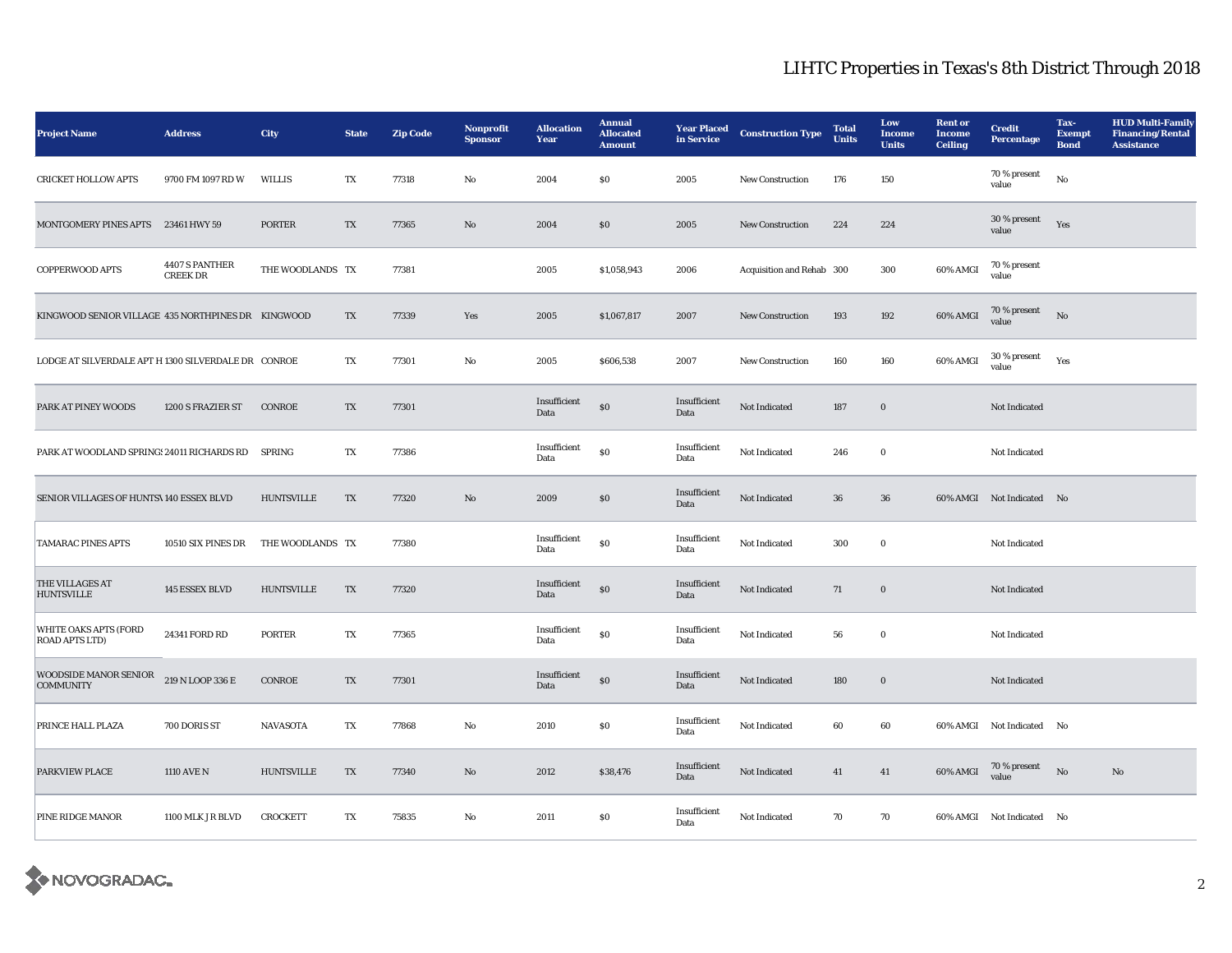| <b>Project Name</b>                                   | <b>Address</b>                    | City              | <b>State</b>            | <b>Zip Code</b> | Nonprofit<br><b>Sponsor</b> | <b>Allocation</b><br>Year | <b>Annual</b><br><b>Allocated</b><br><b>Amount</b> | <b>Year Placed</b><br>in Service | <b>Construction Type</b>  | <b>Total</b><br><b>Units</b> | Low<br><b>Income</b><br><b>Units</b> | <b>Rent</b> or<br><b>Income</b><br><b>Ceiling</b> | <b>Credit</b><br><b>Percentage</b> | Tax-<br><b>Exempt</b><br><b>Bond</b> | <b>HUD Multi-Family</b><br><b>Financing/Rental</b><br><b>Assistance</b> |
|-------------------------------------------------------|-----------------------------------|-------------------|-------------------------|-----------------|-----------------------------|---------------------------|----------------------------------------------------|----------------------------------|---------------------------|------------------------------|--------------------------------------|---------------------------------------------------|------------------------------------|--------------------------------------|-------------------------------------------------------------------------|
| <b>CRICKET HOLLOW APTS</b>                            | 9700 FM 1097 RD W                 | <b>WILLIS</b>     | TX                      | 77318           | $\mathbf{No}$               | 2004                      | $\$0$                                              | 2005                             | New Construction          | 176                          | 150                                  |                                                   | 70 % present<br>value              | $_{\rm No}$                          |                                                                         |
| MONTGOMERY PINES APTS                                 | 23461 HWY 59                      | <b>PORTER</b>     | $\mathbf{T} \mathbf{X}$ | 77365           | No                          | 2004                      | $\$0$                                              | 2005                             | New Construction          | 224                          | 224                                  |                                                   | 30 % present<br>value              | Yes                                  |                                                                         |
| COPPERWOOD APTS                                       | 4407 S PANTHER<br><b>CREEK DR</b> | THE WOODLANDS TX  |                         | 77381           |                             | 2005                      | \$1,058,943                                        | 2006                             | Acquisition and Rehab 300 |                              | 300                                  | 60% AMGI                                          | 70 % present<br>value              |                                      |                                                                         |
| KINGWOOD SENIOR VILLAGE 435 NORTHPINES DR KINGWOOD    |                                   |                   | TX                      | 77339           | Yes                         | 2005                      | \$1,067,817                                        | 2007                             | <b>New Construction</b>   | 193                          | 192                                  | 60% AMGI                                          | 70 % present<br>value              | No                                   |                                                                         |
| LODGE AT SILVERDALE APT H 1300 SILVERDALE DR CONROE   |                                   |                   | TX                      | 77301           | No                          | 2005                      | \$606,538                                          | 2007                             | <b>New Construction</b>   | 160                          | 160                                  | 60% AMGI                                          | 30 % present<br>value              | Yes                                  |                                                                         |
| PARK AT PINEY WOODS                                   | 1200 S FRAZIER ST                 | CONROE            | TX                      | 77301           |                             | Insufficient<br>Data      | $\$0$                                              | Insufficient<br>Data             | Not Indicated             | 187                          | $\boldsymbol{0}$                     |                                                   | Not Indicated                      |                                      |                                                                         |
| PARK AT WOODLAND SPRING: 24011 RICHARDS RD            |                                   | <b>SPRING</b>     | $\mathbf{T}\mathbf{X}$  | 77386           |                             | Insufficient<br>Data      | $\$0$                                              | Insufficient<br>Data             | Not Indicated             | 246                          | $\bf{0}$                             |                                                   | Not Indicated                      |                                      |                                                                         |
| SENIOR VILLAGES OF HUNTS\140 ESSEX BLVD               |                                   | <b>HUNTSVILLE</b> | TX                      | 77320           | No                          | 2009                      | $\$0$                                              | Insufficient<br>Data             | Not Indicated             | 36                           | 36                                   |                                                   | 60% AMGI Not Indicated No          |                                      |                                                                         |
| <b>TAMARAC PINES APTS</b>                             | 10510 SIX PINES DR                | THE WOODLANDS TX  |                         | 77380           |                             | Insufficient<br>Data      | $\$0$                                              | Insufficient<br>Data             | Not Indicated             | 300                          | $\bf{0}$                             |                                                   | Not Indicated                      |                                      |                                                                         |
| THE VILLAGES AT<br><b>HUNTSVILLE</b>                  | 145 ESSEX BLVD                    | <b>HUNTSVILLE</b> | TX                      | 77320           |                             | Insufficient<br>Data      | $\$0$                                              | Insufficient<br>Data             | Not Indicated             | 71                           | $\boldsymbol{0}$                     |                                                   | Not Indicated                      |                                      |                                                                         |
| <b>WHITE OAKS APTS (FORD</b><br><b>ROAD APTS LTD)</b> | 24341 FORD RD                     | <b>PORTER</b>     | TX                      | 77365           |                             | Insufficient<br>Data      | ${\bf S0}$                                         | Insufficient<br>Data             | Not Indicated             | 56                           | $\mathbf 0$                          |                                                   | Not Indicated                      |                                      |                                                                         |
| <b>WOODSIDE MANOR SENIOR</b><br><b>COMMUNITY</b>      | 219 N LOOP 336 E                  | <b>CONROE</b>     | TX                      | 77301           |                             | Insufficient<br>Data      | $\$0$                                              | Insufficient<br>Data             | Not Indicated             | 180                          | $\bf{0}$                             |                                                   | Not Indicated                      |                                      |                                                                         |
| PRINCE HALL PLAZA                                     | 700 DORIS ST                      | <b>NAVASOTA</b>   | TX                      | 77868           | No                          | 2010                      | \$0                                                | Insufficient<br>Data             | Not Indicated             | 60                           | 60                                   |                                                   | 60% AMGI Not Indicated No          |                                      |                                                                         |
| PARKVIEW PLACE                                        | 1110 AVE N                        | <b>HUNTSVILLE</b> | $\mathbf{T}\mathbf{X}$  | 77340           | No                          | 2012                      | \$38,476                                           | Insufficient<br>Data             | Not Indicated             | 41                           | 41                                   | 60% AMGI                                          | $70\,\%$ present<br>value          | No                                   | $\rm\thinspace No$                                                      |
| PINE RIDGE MANOR                                      | 1100 MLK JR BLVD                  | <b>CROCKETT</b>   | TX                      | 75835           | No                          | 2011                      | \$0                                                | Insufficient<br>Data             | Not Indicated             | 70                           | 70                                   |                                                   | 60% AMGI Not Indicated No          |                                      |                                                                         |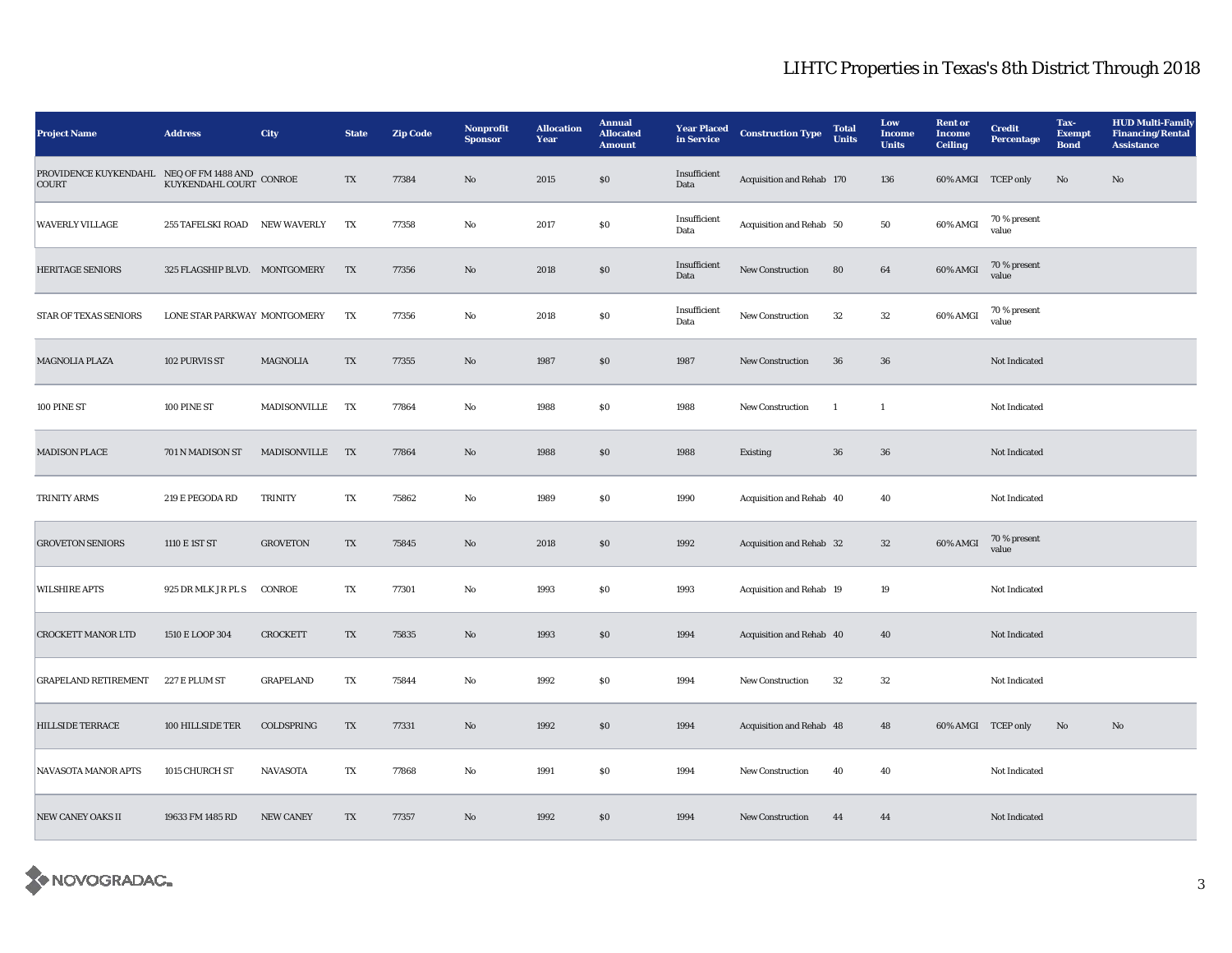| <b>Project Name</b>                                             | <b>Address</b>                | City                | <b>State</b>           | <b>Zip Code</b> | Nonprofit<br><b>Sponsor</b> | <b>Allocation</b><br>Year | <b>Annual</b><br><b>Allocated</b><br><b>Amount</b> | <b>Year Placed</b><br>in Service | <b>Construction Type</b>  | <b>Total</b><br><b>Units</b> | Low<br><b>Income</b><br><b>Units</b> | <b>Rent</b> or<br><b>Income</b><br><b>Ceiling</b> | <b>Credit</b><br>Percentage | Tax-<br><b>Exempt</b><br><b>Bond</b> | <b>HUD Multi-Family</b><br><b>Financing/Rental</b><br><b>Assistance</b> |
|-----------------------------------------------------------------|-------------------------------|---------------------|------------------------|-----------------|-----------------------------|---------------------------|----------------------------------------------------|----------------------------------|---------------------------|------------------------------|--------------------------------------|---------------------------------------------------|-----------------------------|--------------------------------------|-------------------------------------------------------------------------|
| PROVIDENCE KUYKENDAHL NEQ OF FM 1488 AND COURT KUYKENDAHL COURT |                               | $\mbox{CONROE}$     | $\mathbf{T}\mathbf{X}$ | 77384           | No                          | 2015                      | $\$0$                                              | Insufficient<br>Data             | Acquisition and Rehab 170 |                              | 136                                  | 60% AMGI TCEP only                                |                             | $\mathbf{N}\mathbf{o}$               | No                                                                      |
| <b>WAVERLY VILLAGE</b>                                          | <b>255 TAFELSKI ROAD</b>      | <b>NEW WAVERLY</b>  | TX                     | 77358           | No                          | 2017                      | \$0                                                | Insufficient<br>Data             | Acquisition and Rehab 50  |                              | 50                                   | 60% AMGI                                          | 70 % present<br>value       |                                      |                                                                         |
| <b>HERITAGE SENIORS</b>                                         | 325 FLAGSHIP BLVD. MONTGOMERY |                     | TX                     | 77356           | $\mathbf{N}\mathbf{o}$      | 2018                      | $\$0$                                              | Insufficient<br>Data             | New Construction          | 80                           | $\bf{64}$                            | 60% AMGI                                          | 70 % present<br>value       |                                      |                                                                         |
| STAR OF TEXAS SENIORS                                           | LONE STAR PARKWAY MONTGOMERY  |                     | TX                     | 77356           | No                          | 2018                      | \$0                                                | Insufficient<br>Data             | New Construction          | 32                           | 32                                   | 60% AMGI                                          | 70 % present<br>value       |                                      |                                                                         |
| <b>MAGNOLIA PLAZA</b>                                           | 102 PURVIS ST                 | <b>MAGNOLIA</b>     | TX                     | 77355           | No                          | 1987                      | \$0                                                | 1987                             | <b>New Construction</b>   | 36                           | 36                                   |                                                   | Not Indicated               |                                      |                                                                         |
| 100 PINE ST                                                     | 100 PINE ST                   | MADISONVILLE        | TX                     | 77864           | No                          | 1988                      | $\$0$                                              | 1988                             | New Construction          | $\mathbf{1}$                 | $\mathbf{1}$                         |                                                   | Not Indicated               |                                      |                                                                         |
| <b>MADISON PLACE</b>                                            | 701 N MADISON ST              | <b>MADISONVILLE</b> | <b>TX</b>              | 77864           | No                          | 1988                      | \$0                                                | 1988                             | <b>Existing</b>           | 36                           | 36                                   |                                                   | Not Indicated               |                                      |                                                                         |
| <b>TRINITY ARMS</b>                                             | 219 E PEGODA RD               | <b>TRINITY</b>      | TX                     | 75862           | No                          | 1989                      | \$0                                                | 1990                             | Acquisition and Rehab 40  |                              | 40                                   |                                                   | Not Indicated               |                                      |                                                                         |
| <b>GROVETON SENIORS</b>                                         | 1110 E 1ST ST                 | <b>GROVETON</b>     | TX                     | 75845           | No                          | 2018                      | $\$0$                                              | 1992                             | Acquisition and Rehab 32  |                              | 32                                   | 60% AMGI                                          | 70 % present<br>value       |                                      |                                                                         |
| <b>WILSHIRE APTS</b>                                            | 925 DR MLK JR PL S            | <b>CONROE</b>       | $\mathbf{T}\mathbf{X}$ | 77301           | $\rm No$                    | 1993                      | \$0                                                | 1993                             | Acquisition and Rehab 19  |                              | 19                                   |                                                   | Not Indicated               |                                      |                                                                         |
| <b>CROCKETT MANOR LTD</b>                                       | 1510 E LOOP 304               | <b>CROCKETT</b>     | TX                     | 75835           | No                          | 1993                      | $\$0$                                              | 1994                             | Acquisition and Rehab 40  |                              | 40                                   |                                                   | Not Indicated               |                                      |                                                                         |
| <b>GRAPELAND RETIREMENT</b>                                     | 227 E PLUM ST                 | <b>GRAPELAND</b>    | TX                     | 75844           | No                          | 1992                      | \$0                                                | 1994                             | New Construction          | 32                           | 32                                   |                                                   | Not Indicated               |                                      |                                                                         |
| <b>HILLSIDE TERRACE</b>                                         | 100 HILLSIDE TER              | COLDSPRING          | TX                     | 77331           | No                          | 1992                      | $\$0$                                              | 1994                             | Acquisition and Rehab 48  |                              | 48                                   | 60% AMGI TCEP only                                |                             | No                                   | No                                                                      |
| <b>NAVASOTA MANOR APTS</b>                                      | 1015 CHURCH ST                | <b>NAVASOTA</b>     | TX                     | 77868           | No                          | 1991                      | \$0                                                | 1994                             | <b>New Construction</b>   | 40                           | 40                                   |                                                   | Not Indicated               |                                      |                                                                         |
| <b>NEW CANEY OAKS II</b>                                        | 19633 FM 1485 RD              | <b>NEW CANEY</b>    | TX                     | 77357           | $\mathbf{N}\mathbf{o}$      | 1992                      | \$0                                                | 1994                             | <b>New Construction</b>   | 44                           | 44                                   |                                                   | Not Indicated               |                                      |                                                                         |

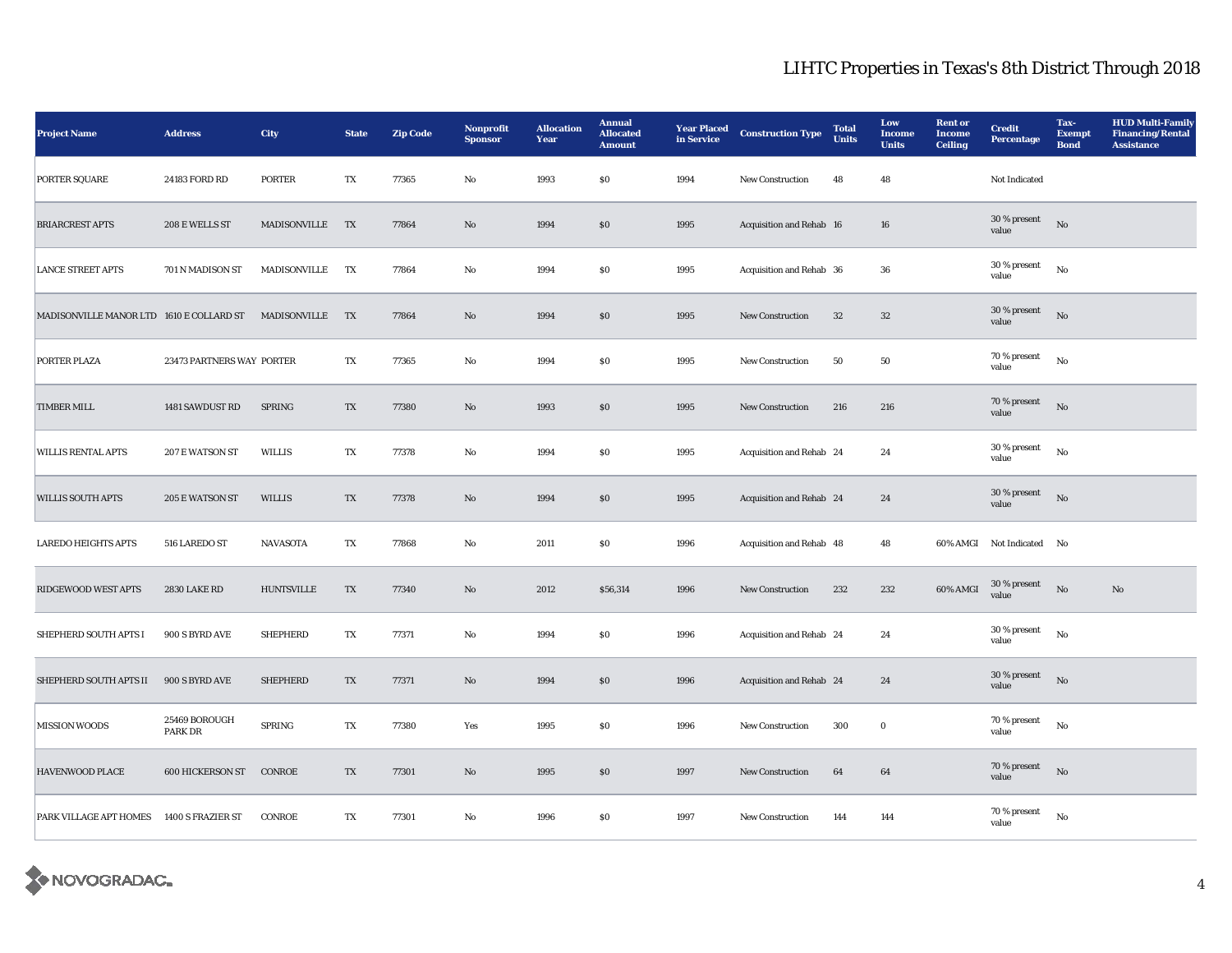| <b>Project Name</b>                      | <b>Address</b>                  | <b>City</b>         | <b>State</b>            | <b>Zip Code</b> | Nonprofit<br><b>Sponsor</b> | <b>Allocation</b><br>Year | <b>Annual</b><br><b>Allocated</b><br><b>Amount</b> | <b>Year Placed</b><br>in Service | <b>Construction Type</b> | <b>Total</b><br><b>Units</b> | Low<br><b>Income</b><br><b>Units</b> | <b>Rent or</b><br><b>Income</b><br><b>Ceiling</b> | <b>Credit</b><br>Percentage | Tax-<br><b>Exempt</b><br><b>Bond</b> | <b>HUD Multi-Family</b><br><b>Financing/Rental</b><br><b>Assistance</b> |
|------------------------------------------|---------------------------------|---------------------|-------------------------|-----------------|-----------------------------|---------------------------|----------------------------------------------------|----------------------------------|--------------------------|------------------------------|--------------------------------------|---------------------------------------------------|-----------------------------|--------------------------------------|-------------------------------------------------------------------------|
| PORTER SQUARE                            | 24183 FORD RD                   | <b>PORTER</b>       | TX                      | 77365           | $\mathbf{No}$               | 1993                      | $\$0$                                              | 1994                             | New Construction         | 48                           | 48                                   |                                                   | Not Indicated               |                                      |                                                                         |
| <b>BRIARCREST APTS</b>                   | 208 E WELLS ST                  | MADISONVILLE        | TX                      | 77864           | No                          | 1994                      | $\$0$                                              | 1995                             | Acquisition and Rehab 16 |                              | ${\bf 16}$                           |                                                   | 30 % present<br>value       | No                                   |                                                                         |
| <b>LANCE STREET APTS</b>                 | 701 N MADISON ST                | <b>MADISONVILLE</b> | TX                      | 77864           | No                          | 1994                      | \$0                                                | 1995                             | Acquisition and Rehab 36 |                              | 36                                   |                                                   | 30 % present<br>value       | No                                   |                                                                         |
| MADISONVILLE MANOR LTD 1610 E COLLARD ST |                                 | MADISONVILLE        | TX                      | 77864           | No                          | 1994                      | \$0                                                | 1995                             | <b>New Construction</b>  | 32                           | 32                                   |                                                   | $30\,\%$ present<br>value   | No                                   |                                                                         |
| PORTER PLAZA                             | 23473 PARTNERS WAY PORTER       |                     | TX                      | 77365           | No                          | 1994                      | ${\bf S0}$                                         | 1995                             | New Construction         | 50                           | 50                                   |                                                   | $70$ % present<br>value     | No                                   |                                                                         |
| <b>TIMBER MILL</b>                       | 1481 SAWDUST RD                 | <b>SPRING</b>       | $\mathbf{T}\mathbf{X}$  | 77380           | $\rm\thinspace No$          | 1993                      | $\$0$                                              | 1995                             | New Construction         | 216                          | 216                                  |                                                   | 70 % present<br>value       | No                                   |                                                                         |
| <b>WILLIS RENTAL APTS</b>                | 207 E WATSON ST                 | <b>WILLIS</b>       | TX                      | 77378           | No                          | 1994                      | $\$0$                                              | 1995                             | Acquisition and Rehab 24 |                              | 24                                   |                                                   | 30 % present<br>value       | No                                   |                                                                         |
| <b>WILLIS SOUTH APTS</b>                 | 205 E WATSON ST                 | <b>WILLIS</b>       | TX                      | 77378           | No                          | 1994                      | \$0                                                | 1995                             | Acquisition and Rehab 24 |                              | 24                                   |                                                   | 30 % present<br>value       | No                                   |                                                                         |
| <b>LAREDO HEIGHTS APTS</b>               | 516 LAREDO ST                   | <b>NAVASOTA</b>     | $\mathbf{T} \mathbf{X}$ | 77868           | $\mathbf{No}$               | 2011                      | \$0                                                | 1996                             | Acquisition and Rehab 48 |                              | 48                                   |                                                   | 60% AMGI Not Indicated No   |                                      |                                                                         |
| RIDGEWOOD WEST APTS                      | <b>2830 LAKE RD</b>             | <b>HUNTSVILLE</b>   | $\mathbf{T}\mathbf{X}$  | 77340           | No                          | 2012                      | \$56,314                                           | 1996                             | New Construction         | 232                          | 232                                  | 60% AMGI                                          | $30\,\%$ present<br>value   | No                                   | No                                                                      |
| SHEPHERD SOUTH APTS I                    | 900 S BYRD AVE                  | <b>SHEPHERD</b>     | $\mathbf{T}\mathbf{X}$  | 77371           | No                          | 1994                      | $\$0$                                              | 1996                             | Acquisition and Rehab 24 |                              | 24                                   |                                                   | 30 % present<br>value       | ${\bf No}$                           |                                                                         |
| SHEPHERD SOUTH APTS II                   | 900 S BYRD AVE                  | <b>SHEPHERD</b>     | TX                      | 77371           | No                          | 1994                      | $\$0$                                              | 1996                             | Acquisition and Rehab 24 |                              | 24                                   |                                                   | 30 % present<br>value       | No                                   |                                                                         |
| <b>MISSION WOODS</b>                     | 25469 BOROUGH<br><b>PARK DR</b> | <b>SPRING</b>       | TX                      | 77380           | Yes                         | 1995                      | \$0                                                | 1996                             | New Construction         | 300                          | $\bf{0}$                             |                                                   | 70 % present<br>value       | $\mathbf{N}\mathbf{o}$               |                                                                         |
| <b>HAVENWOOD PLACE</b>                   | <b>600 HICKERSON ST</b>         | CONROE              | TX                      | 77301           | No                          | 1995                      | $\$0$                                              | 1997                             | New Construction         | 64                           | 64                                   |                                                   | 70 % present<br>value       | No                                   |                                                                         |
| PARK VILLAGE APT HOMES                   | 1400 S FRAZIER ST               | <b>CONROE</b>       | TX                      | 77301           | No                          | 1996                      | \$0                                                | 1997                             | New Construction         | 144                          | 144                                  |                                                   | 70 % present<br>value       | $\rm No$                             |                                                                         |